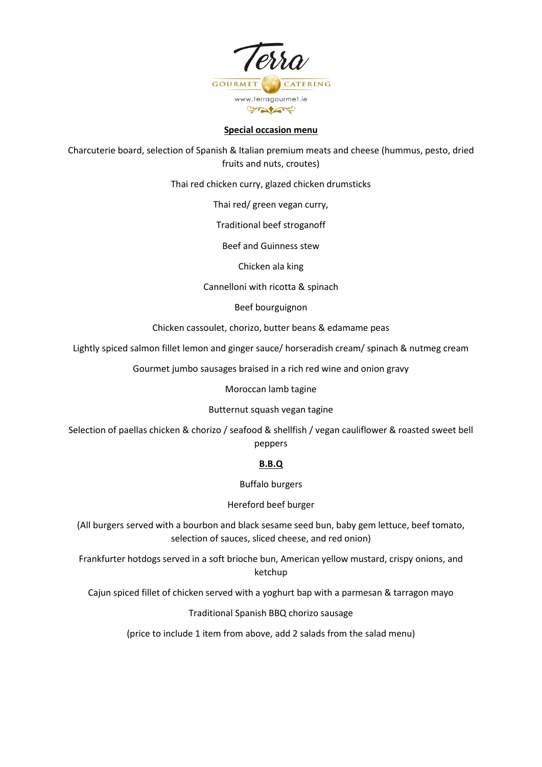

### **Special occasion menu**

Charcuterie board, selection of Spanish & Italian premium meats and cheese (hummus, pesto, dried fruits and nuts, croutes)

Thai red chicken curry, glazed chicken drumsticks

Thai red/ green vegan curry,

Traditional beef stroganoff

Beef and Guinness stew

Chicken ala king

Cannelloni with ricotta & spinach

Beef bourguignon

Chicken cassoulet, chorizo, butter beans & edamame peas

Lightly spiced salmon fillet lemon and ginger sauce/ horseradish cream/ spinach & nutmeg cream

Gourmet jumbo sausages braised in a rich red wine and onion gravy

Moroccan lamb tagine

### Butternut squash vegan tagine

Selection of paellas chicken & chorizo / seafood & shellfish / vegan cauliflower & roasted sweet bell peppers

# **B.B.Q**

Buffalo burgers

Hereford beef burger

(All burgers served with a bourbon and black sesame seed bun, baby gem lettuce, beef tomato, selection of sauces, sliced cheese, and red onion)

Frankfurter hotdogs served in a soft brioche bun, American yellow mustard, crispy onions, and ketchup

Cajun spiced fillet of chicken served with a yoghurt bap with a parmesan & tarragon mayo

Traditional Spanish BBQ chorizo sausage

(price to include 1 item from above, add 2 salads from the salad menu)